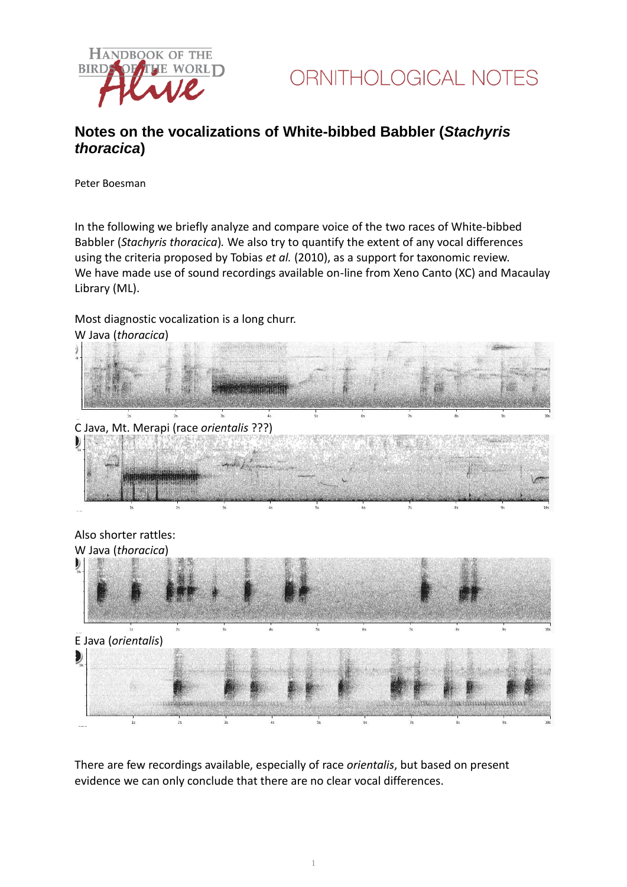



## **Notes on the vocalizations of White-bibbed Babbler (***Stachyris thoracica***)**

Peter Boesman

In the following we briefly analyze and compare voice of the two races of White-bibbed Babbler (*Stachyris thoracica*)*.* We also try to quantify the extent of any vocal differences using the criteria proposed by Tobias *et al.* (2010), as a support for taxonomic review. We have made use of sound recordings available on-line from Xeno Canto (XC) and Macaulay Library (ML).

Most diagnostic vocalization is a long churr. W Java (*thoracica*)



There are few recordings available, especially of race *orientalis*, but based on present evidence we can only conclude that there are no clear vocal differences.